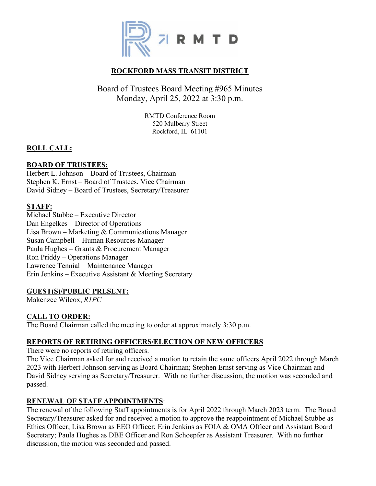

# **ROCKFORD MASS TRANSIT DISTRICT**

# Board of Trustees Board Meeting #965 Minutes Monday, April 25, 2022 at 3:30 p.m.

RMTD Conference Room 520 Mulberry Street Rockford, IL 61101

# **ROLL CALL:**

# **BOARD OF TRUSTEES:**

Herbert L. Johnson – Board of Trustees, Chairman Stephen K. Ernst – Board of Trustees, Vice Chairman David Sidney – Board of Trustees, Secretary/Treasurer

# **STAFF:**

Michael Stubbe – Executive Director Dan Engelkes – Director of Operations Lisa Brown – Marketing & Communications Manager Susan Campbell – Human Resources Manager Paula Hughes – Grants & Procurement Manager Ron Priddy – Operations Manager Lawrence Tennial – Maintenance Manager Erin Jenkins – Executive Assistant & Meeting Secretary

# **GUEST(S)/PUBLIC PRESENT:**

Makenzee Wilcox, *R1PC*

# **CALL TO ORDER:**

The Board Chairman called the meeting to order at approximately 3:30 p.m.

# **REPORTS OF RETIRING OFFICERS/ELECTION OF NEW OFFICERS**

There were no reports of retiring officers.

The Vice Chairman asked for and received a motion to retain the same officers April 2022 through March 2023 with Herbert Johnson serving as Board Chairman; Stephen Ernst serving as Vice Chairman and David Sidney serving as Secretary/Treasurer. With no further discussion, the motion was seconded and passed.

# **RENEWAL OF STAFF APPOINTMENTS**:

The renewal of the following Staff appointments is for April 2022 through March 2023 term. The Board Secretary/Treasurer asked for and received a motion to approve the reappointment of Michael Stubbe as Ethics Officer; Lisa Brown as EEO Officer; Erin Jenkins as FOIA & OMA Officer and Assistant Board Secretary; Paula Hughes as DBE Officer and Ron Schoepfer as Assistant Treasurer. With no further discussion, the motion was seconded and passed.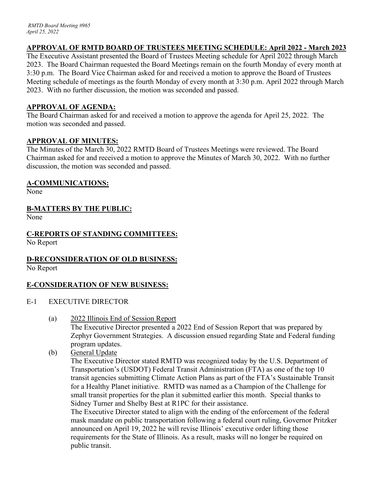# **APPROVAL OF RMTD BOARD OF TRUSTEES MEETING SCHEDULE: April 2022 - March 2023**

The Executive Assistant presented the Board of Trustees Meeting schedule for April 2022 through March 2023. The Board Chairman requested the Board Meetings remain on the fourth Monday of every month at 3:30 p.m. The Board Vice Chairman asked for and received a motion to approve the Board of Trustees Meeting schedule of meetings as the fourth Monday of every month at 3:30 p.m. April 2022 through March 2023. With no further discussion, the motion was seconded and passed.

# **APPROVAL OF AGENDA:**

The Board Chairman asked for and received a motion to approve the agenda for April 25, 2022. The motion was seconded and passed.

### **APPROVAL OF MINUTES:**

The Minutes of the March 30, 2022 RMTD Board of Trustees Meetings were reviewed. The Board Chairman asked for and received a motion to approve the Minutes of March 30, 2022. With no further discussion, the motion was seconded and passed.

# **A-COMMUNICATIONS:**

None

# **B-MATTERS BY THE PUBLIC:**

None

### **C-REPORTS OF STANDING COMMITTEES:** No Report

# **D-RECONSIDERATION OF OLD BUSINESS:**

No Report

# **E-CONSIDERATION OF NEW BUSINESS:**

- E-1 EXECUTIVE DIRECTOR
	- (a) 2022 Illinois End of Session Report

The Executive Director presented a 2022 End of Session Report that was prepared by Zephyr Government Strategies. A discussion ensued regarding State and Federal funding program updates.

(b) General Update

The Executive Director stated RMTD was recognized today by the U.S. Department of Transportation's (USDOT) Federal Transit Administration (FTA) as one of the top 10 transit agencies submitting Climate Action Plans as part of the FTA's Sustainable Transit for a Healthy Planet initiative. RMTD was named as a Champion of the Challenge for small transit properties for the plan it submitted earlier this month. Special thanks to Sidney Turner and Shelby Best at R1PC for their assistance.

The Executive Director stated to align with the ending of the enforcement of the federal mask mandate on public transportation following a federal court ruling, Governor Pritzker announced on April 19, 2022 he will revise Illinois' executive order lifting those requirements for the State of Illinois. As a result, masks will no longer be required on public transit.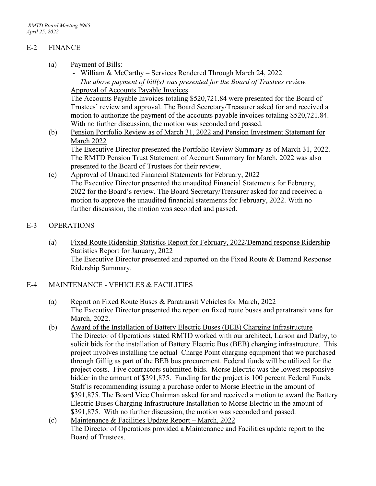# E-2 FINANCE

- (a) Payment of Bills:
	- William & McCarthy Services Rendered Through March 24, 2022 *The above payment of bill(s) was presented for the Board of Trustees review.* Approval of Accounts Payable Invoices

The Accounts Payable Invoices totaling \$520,721.84 were presented for the Board of Trustees' review and approval. The Board Secretary/Treasurer asked for and received a motion to authorize the payment of the accounts payable invoices totaling \$520,721.84. With no further discussion, the motion was seconded and passed.

(b) Pension Portfolio Review as of March 31, 2022 and Pension Investment Statement for March 2022

The Executive Director presented the Portfolio Review Summary as of March 31, 2022. The RMTD Pension Trust Statement of Account Summary for March, 2022 was also presented to the Board of Trustees for their review.

(c) Approval of Unaudited Financial Statements for February, 2022 The Executive Director presented the unaudited Financial Statements for February, 2022 for the Board's review. The Board Secretary/Treasurer asked for and received a motion to approve the unaudited financial statements for February, 2022. With no further discussion, the motion was seconded and passed.

### E-3 OPERATIONS

(a) Fixed Route Ridership Statistics Report for February, 2022/Demand response Ridership Statistics Report for January, 2022 The Executive Director presented and reported on the Fixed Route & Demand Response Ridership Summary.

# E-4 MAINTENANCE - VEHICLES & FACILITIES

- (a) Report on Fixed Route Buses & Paratransit Vehicles for March, 2022 The Executive Director presented the report on fixed route buses and paratransit vans for March, 2022.
- (b) Award of the Installation of Battery Electric Buses (BEB) Charging Infrastructure The Director of Operations stated RMTD worked with our architect, Larson and Darby, to solicit bids for the installation of Battery Electric Bus (BEB) charging infrastructure. This project involves installing the actual Charge Point charging equipment that we purchased through Gillig as part of the BEB bus procurement. Federal funds will be utilized for the project costs. Five contractors submitted bids. Morse Electric was the lowest responsive bidder in the amount of \$391,875. Funding for the project is 100 percent Federal Funds. Staff is recommending issuing a purchase order to Morse Electric in the amount of \$391,875. The Board Vice Chairman asked for and received a motion to award the Battery Electric Buses Charging Infrastructure Installation to Morse Electric in the amount of \$391,875. With no further discussion, the motion was seconded and passed.
- (c) Maintenance & Facilities Update Report March, 2022 The Director of Operations provided a Maintenance and Facilities update report to the Board of Trustees.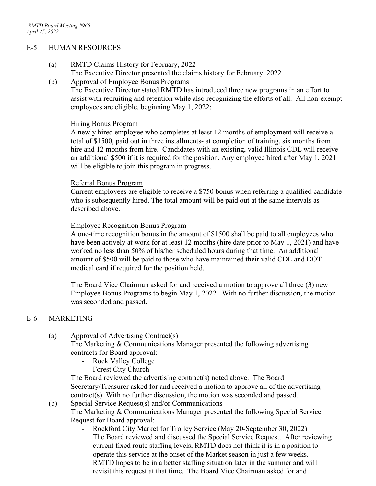#### E-5 HUMAN RESOURCES

- (a) RMTD Claims History for February, 2022
	- The Executive Director presented the claims history for February, 2022
- (b) Approval of Employee Bonus Programs

The Executive Director stated RMTD has introduced three new programs in an effort to assist with recruiting and retention while also recognizing the efforts of all. All non-exempt employees are eligible, beginning May 1, 2022:

### Hiring Bonus Program

A newly hired employee who completes at least 12 months of employment will receive a total of \$1500, paid out in three installments- at completion of training, six months from hire and 12 months from hire. Candidates with an existing, valid Illinois CDL will receive an additional \$500 if it is required for the position. Any employee hired after May 1, 2021 will be eligible to join this program in progress.

#### Referral Bonus Program

Current employees are eligible to receive a \$750 bonus when referring a qualified candidate who is subsequently hired. The total amount will be paid out at the same intervals as described above.

### Employee Recognition Bonus Program

A one-time recognition bonus in the amount of \$1500 shall be paid to all employees who have been actively at work for at least 12 months (hire date prior to May 1, 2021) and have worked no less than 50% of his/her scheduled hours during that time. An additional amount of \$500 will be paid to those who have maintained their valid CDL and DOT medical card if required for the position held.

The Board Vice Chairman asked for and received a motion to approve all three (3) new Employee Bonus Programs to begin May 1, 2022. With no further discussion, the motion was seconded and passed.

### E-6 MARKETING

### (a) Approval of Advertising Contract(s)

The Marketing & Communications Manager presented the following advertising contracts for Board approval:

- Rock Valley College
- Forest City Church

The Board reviewed the advertising contract(s) noted above. The Board Secretary/Treasurer asked for and received a motion to approve all of the advertising contract(s). With no further discussion, the motion was seconded and passed.

(b) Special Service Request(s) and/or Communications

The Marketing & Communications Manager presented the following Special Service Request for Board approval:

Rockford City Market for Trolley Service (May 20-September 30, 2022) The Board reviewed and discussed the Special Service Request. After reviewing current fixed route staffing levels, RMTD does not think it is in a position to operate this service at the onset of the Market season in just a few weeks. RMTD hopes to be in a better staffing situation later in the summer and will revisit this request at that time. The Board Vice Chairman asked for and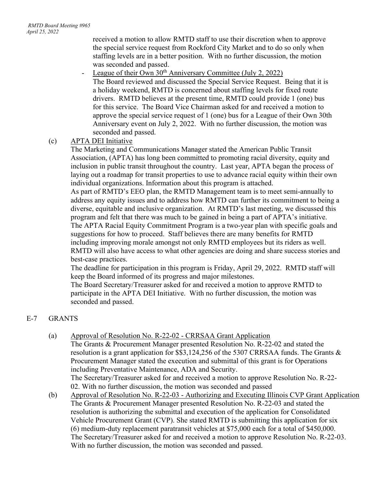received a motion to allow RMTD staff to use their discretion when to approve the special service request from Rockford City Market and to do so only when staffing levels are in a better position. With no further discussion, the motion was seconded and passed.

- League of their Own 30<sup>th</sup> Anniversary Committee (July 2, 2022) The Board reviewed and discussed the Special Service Request. Being that it is a holiday weekend, RMTD is concerned about staffing levels for fixed route drivers. RMTD believes at the present time, RMTD could provide 1 (one) bus for this service. The Board Vice Chairman asked for and received a motion to approve the special service request of 1 (one) bus for a League of their Own 30th Anniversary event on July 2, 2022. With no further discussion, the motion was seconded and passed.

# (c) APTA DEI Initiative

The Marketing and Communications Manager stated the American Public Transit Association, (APTA) has long been committed to promoting racial diversity, equity and inclusion in public transit throughout the country. Last year, APTA began the process of laying out a roadmap for transit properties to use to advance racial equity within their own individual organizations. Information about this program is attached.

As part of RMTD's EEO plan, the RMTD Management team is to meet semi-annually to address any equity issues and to address how RMTD can further its commitment to being a diverse, equitable and inclusive organization. At RMTD's last meeting, we discussed this program and felt that there was much to be gained in being a part of APTA's initiative. The APTA Racial Equity Commitment Program is a two-year plan with specific goals and suggestions for how to proceed. Staff believes there are many benefits for RMTD including improving morale amongst not only RMTD employees but its riders as well. RMTD will also have access to what other agencies are doing and share success stories and best-case practices.

The deadline for participation in this program is Friday, April 29, 2022. RMTD staff will keep the Board informed of its progress and major milestones.

The Board Secretary/Treasurer asked for and received a motion to approve RMTD to participate in the APTA DEI Initiative. With no further discussion, the motion was seconded and passed.

# E-7 GRANTS

- (a) Approval of Resolution No. R-22-02 CRRSAA Grant Application The Grants & Procurement Manager presented Resolution No. R-22-02 and stated the resolution is a grant application for \$\$3,124,256 of the 5307 CRRSAA funds. The Grants & Procurement Manager stated the execution and submittal of this grant is for Operations including Preventative Maintenance, ADA and Security. The Secretary/Treasurer asked for and received a motion to approve Resolution No. R-22- 02. With no further discussion, the motion was seconded and passed
- (b) Approval of Resolution No. R-22-03 Authorizing and Executing Illinois CVP Grant Application The Grants & Procurement Manager presented Resolution No. R-22-03 and stated the resolution is authorizing the submittal and execution of the application for Consolidated Vehicle Procurement Grant (CVP). She stated RMTD is submitting this application for six (6) medium-duty replacement paratransit vehicles at \$75,000 each for a total of \$450,000. The Secretary/Treasurer asked for and received a motion to approve Resolution No. R-22-03. With no further discussion, the motion was seconded and passed.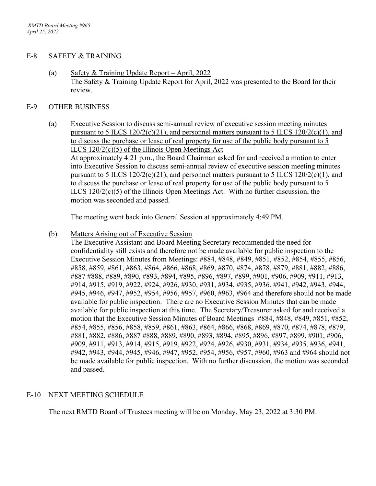### E-8 SAFETY & TRAINING

(a) Safety & Training Update Report – April, 2022 The Safety & Training Update Report for April, 2022 was presented to the Board for their review.

### E-9 OTHER BUSINESS

(a) Executive Session to discuss semi-annual review of executive session meeting minutes pursuant to 5 ILCS  $120/2(c)(21)$ , and personnel matters pursuant to 5 ILCS  $120/2(c)(1)$ , and to discuss the purchase or lease of real property for use of the public body pursuant to 5 ILCS 120/2(c)(5) of the Illinois Open Meetings Act At approximately 4:21 p.m., the Board Chairman asked for and received a motion to enter into Executive Session to discuss semi-annual review of executive session meeting minutes pursuant to 5 ILCS  $120/2(c)(21)$ , and personnel matters pursuant to 5 ILCS  $120/2(c)(1)$ , and to discuss the purchase or lease of real property for use of the public body pursuant to 5 ILCS  $120/2(c)(5)$  of the Illinois Open Meetings Act. With no further discussion, the motion was seconded and passed.

The meeting went back into General Session at approximately 4:49 PM.

(b) Matters Arising out of Executive Session

The Executive Assistant and Board Meeting Secretary recommended the need for confidentiality still exists and therefore not be made available for public inspection to the Executive Session Minutes from Meetings: #884, #848, #849, #851, #852, #854, #855, #856, #858, #859, #861, #863, #864, #866, #868, #869, #870, #874, #878, #879, #881, #882, #886, #887 #888, #889, #890, #893, #894, #895, #896, #897, #899, #901, #906, #909, #911, #913, #914, #915, #919, #922, #924, #926, #930, #931, #934, #935, #936, #941, #942, #943, #944, #945, #946, #947, #952, #954, #956, #957, #960, #963, #964 and therefore should not be made available for public inspection. There are no Executive Session Minutes that can be made available for public inspection at this time. The Secretary/Treasurer asked for and received a motion that the Executive Session Minutes of Board Meetings #884, #848, #849, #851, #852, #854, #855, #856, #858, #859, #861, #863, #864, #866, #868, #869, #870, #874, #878, #879, #881, #882, #886, #887 #888, #889, #890, #893, #894, #895, #896, #897, #899, #901, #906, #909, #911, #913, #914, #915, #919, #922, #924, #926, #930, #931, #934, #935, #936, #941, #942, #943, #944, #945, #946, #947, #952, #954, #956, #957, #960, #963 and #964 should not be made available for public inspection. With no further discussion, the motion was seconded and passed.

# E-10 NEXT MEETING SCHEDULE

The next RMTD Board of Trustees meeting will be on Monday, May 23, 2022 at 3:30 PM.